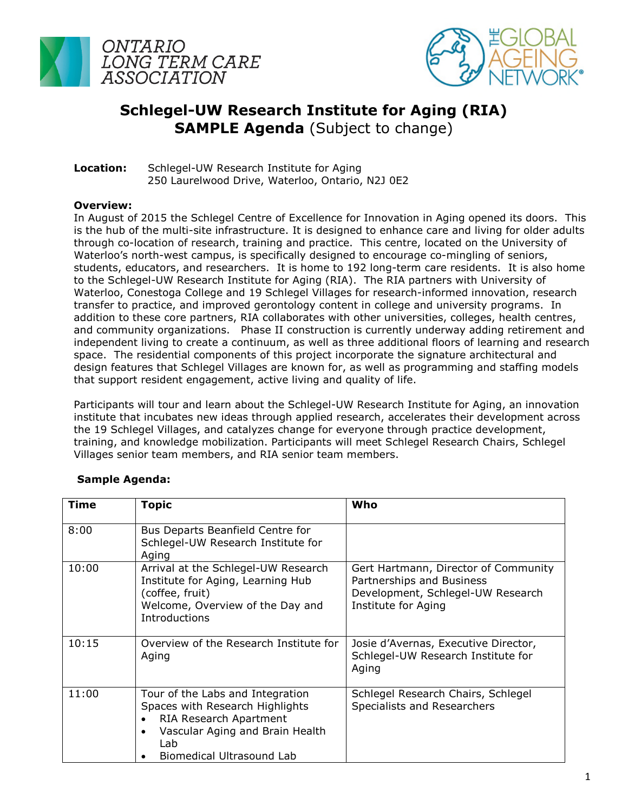



## **Schlegel-UW Research Institute for Aging (RIA) SAMPLE Agenda** (Subject to change)

**Location:** Schlegel-UW Research Institute for Aging 250 Laurelwood Drive, Waterloo, Ontario, N2J 0E2

## **Overview:**

In August of 2015 the Schlegel Centre of Excellence for Innovation in Aging opened its doors. This is the hub of the multi-site infrastructure. It is designed to enhance care and living for older adults through co-location of research, training and practice. This centre, located on the University of Waterloo's north-west campus, is specifically designed to encourage co-mingling of seniors, students, educators, and researchers. It is home to 192 long-term care residents. It is also home to the Schlegel-UW Research Institute for Aging (RIA). The RIA partners with University of Waterloo, Conestoga College and 19 Schlegel Villages for research-informed innovation, research transfer to practice, and improved gerontology content in college and university programs. In addition to these core partners, RIA collaborates with other universities, colleges, health centres, and community organizations. Phase II construction is currently underway adding retirement and independent living to create a continuum, as well as three additional floors of learning and research space. The residential components of this project incorporate the signature architectural and design features that Schlegel Villages are known for, as well as programming and staffing models that support resident engagement, active living and quality of life.

Participants will tour and learn about the Schlegel-UW Research Institute for Aging, an innovation institute that incubates new ideas through applied research, accelerates their development across the 19 Schlegel Villages, and catalyzes change for everyone through practice development, training, and knowledge mobilization. Participants will meet Schlegel Research Chairs, Schlegel Villages senior team members, and RIA senior team members.

| <b>Time</b> | <b>Topic</b>                                                                                                                                                                                   | Who                                                                                                                           |
|-------------|------------------------------------------------------------------------------------------------------------------------------------------------------------------------------------------------|-------------------------------------------------------------------------------------------------------------------------------|
| 8:00        | Bus Departs Beanfield Centre for<br>Schlegel-UW Research Institute for<br>Aging                                                                                                                |                                                                                                                               |
| 10:00       | Arrival at the Schlegel-UW Research<br>Institute for Aging, Learning Hub<br>(coffee, fruit)<br>Welcome, Overview of the Day and<br><b>Introductions</b>                                        | Gert Hartmann, Director of Community<br>Partnerships and Business<br>Development, Schlegel-UW Research<br>Institute for Aging |
| 10:15       | Overview of the Research Institute for<br>Aging                                                                                                                                                | Josie d'Avernas, Executive Director,<br>Schlegel-UW Research Institute for<br>Aging                                           |
| 11:00       | Tour of the Labs and Integration<br>Spaces with Research Highlights<br>RIA Research Apartment<br>$\bullet$<br>Vascular Aging and Brain Health<br>$\bullet$<br>Lab<br>Biomedical Ultrasound Lab | Schlegel Research Chairs, Schlegel<br>Specialists and Researchers                                                             |

## **Sample Agenda:**